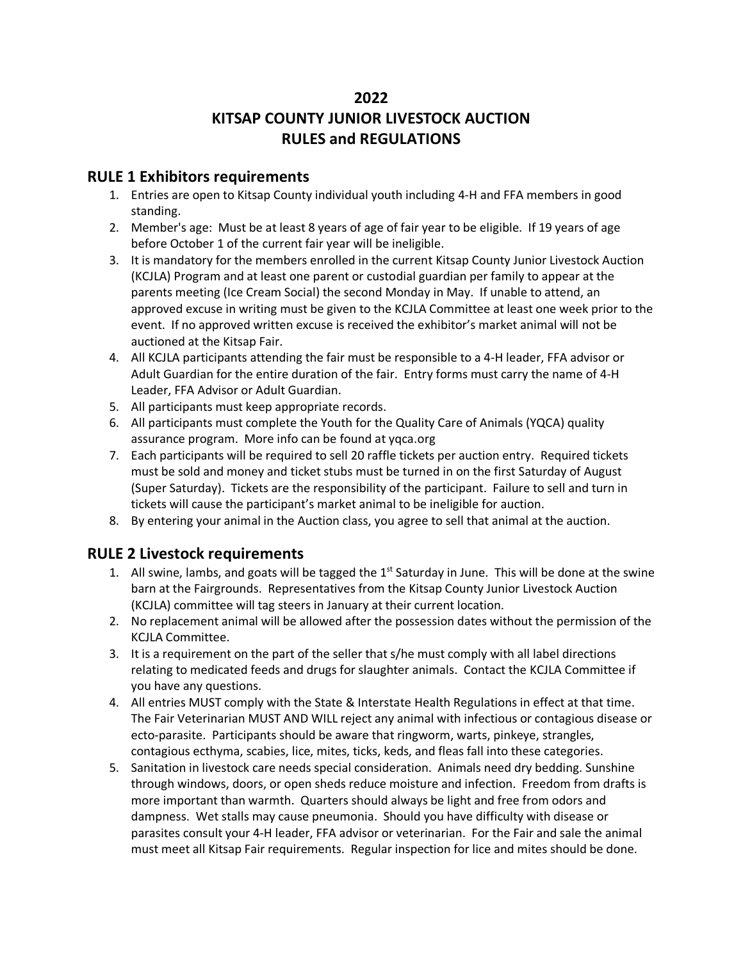# **2022**

# **KITSAP COUNTY JUNIOR LIVESTOCK AUCTION RULES and REGULATIONS**

#### **RULE 1 Exhibitors requirements**

- 1. Entries are open to Kitsap County individual youth including 4-H and FFA members in good standing.
- 2. Member's age: Must be at least 8 years of age of fair year to be eligible. If 19 years of age before October 1 of the current fair year will be ineligible.
- 3. It is mandatory for the members enrolled in the current Kitsap County Junior Livestock Auction (KCJLA) Program and at least one parent or custodial guardian per family to appear at the parents meeting (Ice Cream Social) the second Monday in May. If unable to attend, an approved excuse in writing must be given to the KCJLA Committee at least one week prior to the event. If no approved written excuse is received the exhibitor's market animal will not be auctioned at the Kitsap Fair.
- 4. All KCJLA participants attending the fair must be responsible to a 4-H leader, FFA advisor or Adult Guardian for the entire duration of the fair. Entry forms must carry the name of 4-H Leader, FFA Advisor or Adult Guardian.
- 5. All participants must keep appropriate records.
- 6. All participants must complete the Youth for the Quality Care of Animals (YQCA) quality assurance program. More info can be found at yqca.org
- 7. Each participants will be required to sell 20 raffle tickets per auction entry. Required tickets must be sold and money and ticket stubs must be turned in on the first Saturday of August (Super Saturday). Tickets are the responsibility of the participant. Failure to sell and turn in tickets will cause the participant's market animal to be ineligible for auction.
- 8. By entering your animal in the Auction class, you agree to sell that animal at the auction.

## **RULE 2 Livestock requirements**

- 1. All swine, lambs, and goats will be tagged the  $1<sup>st</sup>$  Saturday in June. This will be done at the swine barn at the Fairgrounds. Representatives from the Kitsap County Junior Livestock Auction (KCJLA) committee will tag steers in January at their current location.
- 2. No replacement animal will be allowed after the possession dates without the permission of the KCJLA Committee.
- 3. It is a requirement on the part of the seller that s/he must comply with all label directions relating to medicated feeds and drugs for slaughter animals. Contact the KCJLA Committee if you have any questions.
- 4. All entries MUST comply with the State & Interstate Health Regulations in effect at that time. The Fair Veterinarian MUST AND WILL reject any animal with infectious or contagious disease or ecto-parasite. Participants should be aware that ringworm, warts, pinkeye, strangles, contagious ecthyma, scabies, lice, mites, ticks, keds, and fleas fall into these categories.
- 5. Sanitation in livestock care needs special consideration. Animals need dry bedding. Sunshine through windows, doors, or open sheds reduce moisture and infection. Freedom from drafts is more important than warmth. Quarters should always be light and free from odors and dampness. Wet stalls may cause pneumonia. Should you have difficulty with disease or parasites consult your 4-H leader, FFA advisor or veterinarian. For the Fair and sale the animal must meet all Kitsap Fair requirements. Regular inspection for lice and mites should be done.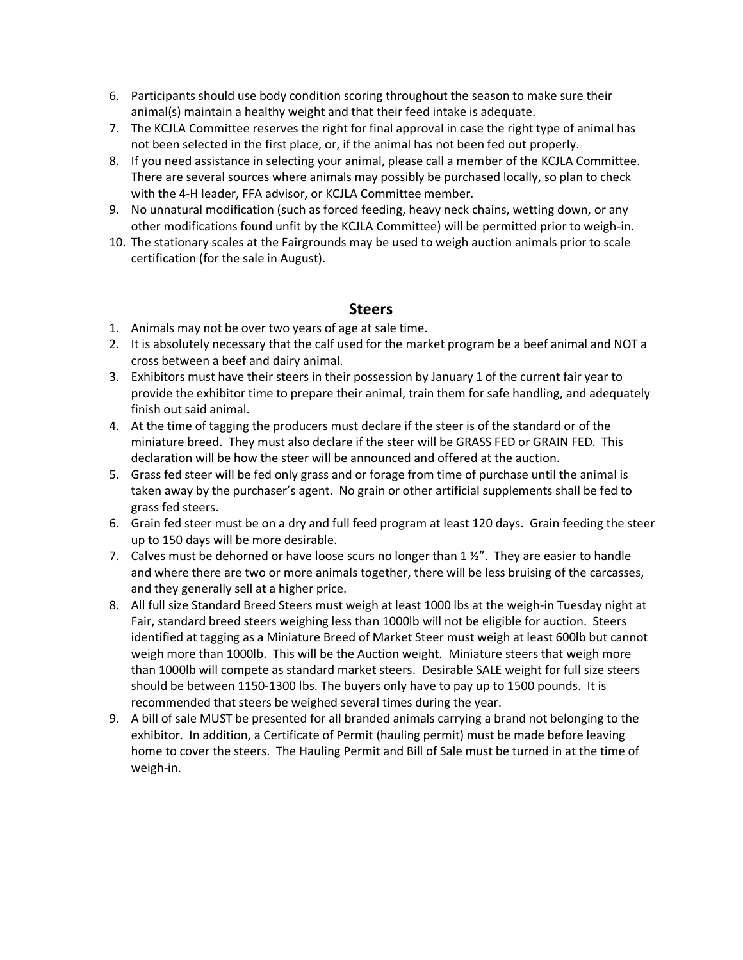- 6. Participants should use body condition scoring throughout the season to make sure their animal(s) maintain a healthy weight and that their feed intake is adequate.
- 7. The KCJLA Committee reserves the right for final approval in case the right type of animal has not been selected in the first place, or, if the animal has not been fed out properly.
- 8. If you need assistance in selecting your animal, please call a member of the KCJLA Committee. There are several sources where animals may possibly be purchased locally, so plan to check with the 4-H leader, FFA advisor, or KCJLA Committee member.
- 9. No unnatural modification (such as forced feeding, heavy neck chains, wetting down, or any other modifications found unfit by the KCJLA Committee) will be permitted prior to weigh-in.
- 10. The stationary scales at the Fairgrounds may be used to weigh auction animals prior to scale certification (for the sale in August).

#### **Steers**

- 1. Animals may not be over two years of age at sale time.
- 2. It is absolutely necessary that the calf used for the market program be a beef animal and NOT a cross between a beef and dairy animal.
- 3. Exhibitors must have their steers in their possession by January 1 of the current fair year to provide the exhibitor time to prepare their animal, train them for safe handling, and adequately finish out said animal.
- 4. At the time of tagging the producers must declare if the steer is of the standard or of the miniature breed. They must also declare if the steer will be GRASS FED or GRAIN FED. This declaration will be how the steer will be announced and offered at the auction.
- 5. Grass fed steer will be fed only grass and or forage from time of purchase until the animal is taken away by the purchaser's agent. No grain or other artificial supplements shall be fed to grass fed steers.
- 6. Grain fed steer must be on a dry and full feed program at least 120 days. Grain feeding the steer up to 150 days will be more desirable.
- 7. Calves must be dehorned or have loose scurs no longer than  $1 \frac{1}{2}$ ". They are easier to handle and where there are two or more animals together, there will be less bruising of the carcasses, and they generally sell at a higher price.
- 8. All full size Standard Breed Steers must weigh at least 1000 lbs at the weigh-in Tuesday night at Fair, standard breed steers weighing less than 1000lb will not be eligible for auction. Steers identified at tagging as a Miniature Breed of Market Steer must weigh at least 600lb but cannot weigh more than 1000lb. This will be the Auction weight. Miniature steers that weigh more than 1000lb will compete as standard market steers. Desirable SALE weight for full size steers should be between 1150-1300 lbs. The buyers only have to pay up to 1500 pounds. It is recommended that steers be weighed several times during the year.
- 9. A bill of sale MUST be presented for all branded animals carrying a brand not belonging to the exhibitor. In addition, a Certificate of Permit (hauling permit) must be made before leaving home to cover the steers. The Hauling Permit and Bill of Sale must be turned in at the time of weigh-in.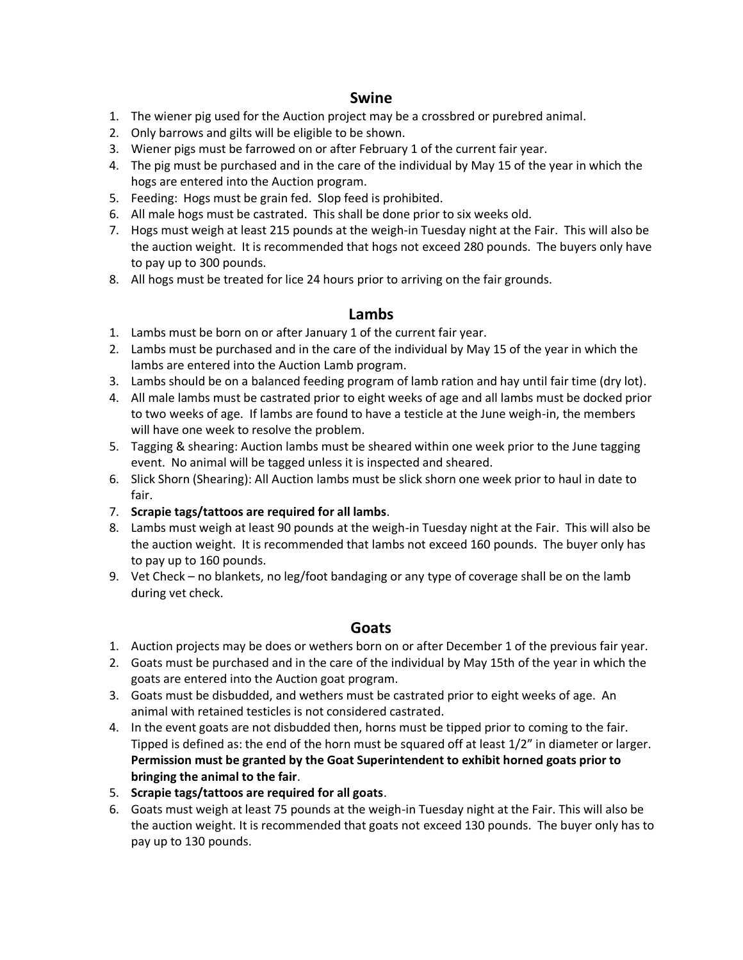#### **Swine**

- 1. The wiener pig used for the Auction project may be a crossbred or purebred animal.
- 2. Only barrows and gilts will be eligible to be shown.
- 3. Wiener pigs must be farrowed on or after February 1 of the current fair year.
- 4. The pig must be purchased and in the care of the individual by May 15 of the year in which the hogs are entered into the Auction program.
- 5. Feeding: Hogs must be grain fed. Slop feed is prohibited.
- 6. All male hogs must be castrated. This shall be done prior to six weeks old.
- 7. Hogs must weigh at least 215 pounds at the weigh-in Tuesday night at the Fair. This will also be the auction weight. It is recommended that hogs not exceed 280 pounds. The buyers only have to pay up to 300 pounds.
- 8. All hogs must be treated for lice 24 hours prior to arriving on the fair grounds.

## **Lambs**

- 1. Lambs must be born on or after January 1 of the current fair year.
- 2. Lambs must be purchased and in the care of the individual by May 15 of the year in which the lambs are entered into the Auction Lamb program.
- 3. Lambs should be on a balanced feeding program of lamb ration and hay until fair time (dry lot).
- 4. All male lambs must be castrated prior to eight weeks of age and all lambs must be docked prior to two weeks of age. If lambs are found to have a testicle at the June weigh-in, the members will have one week to resolve the problem.
- 5. Tagging & shearing: Auction lambs must be sheared within one week prior to the June tagging event. No animal will be tagged unless it is inspected and sheared.
- 6. Slick Shorn (Shearing): All Auction lambs must be slick shorn one week prior to haul in date to fair.
- 7. **Scrapie tags/tattoos are required for all lambs**.
- 8. Lambs must weigh at least 90 pounds at the weigh-in Tuesday night at the Fair. This will also be the auction weight. It is recommended that lambs not exceed 160 pounds. The buyer only has to pay up to 160 pounds.
- 9. Vet Check no blankets, no leg/foot bandaging or any type of coverage shall be on the lamb during vet check.

## **Goats**

- 1. Auction projects may be does or wethers born on or after December 1 of the previous fair year.
- 2. Goats must be purchased and in the care of the individual by May 15th of the year in which the goats are entered into the Auction goat program.
- 3. Goats must be disbudded, and wethers must be castrated prior to eight weeks of age. An animal with retained testicles is not considered castrated.
- 4. In the event goats are not disbudded then, horns must be tipped prior to coming to the fair. Tipped is defined as: the end of the horn must be squared off at least 1/2" in diameter or larger. **Permission must be granted by the Goat Superintendent to exhibit horned goats prior to bringing the animal to the fair**.
- 5. **Scrapie tags/tattoos are required for all goats**.
- 6. Goats must weigh at least 75 pounds at the weigh-in Tuesday night at the Fair. This will also be the auction weight. It is recommended that goats not exceed 130 pounds. The buyer only has to pay up to 130 pounds.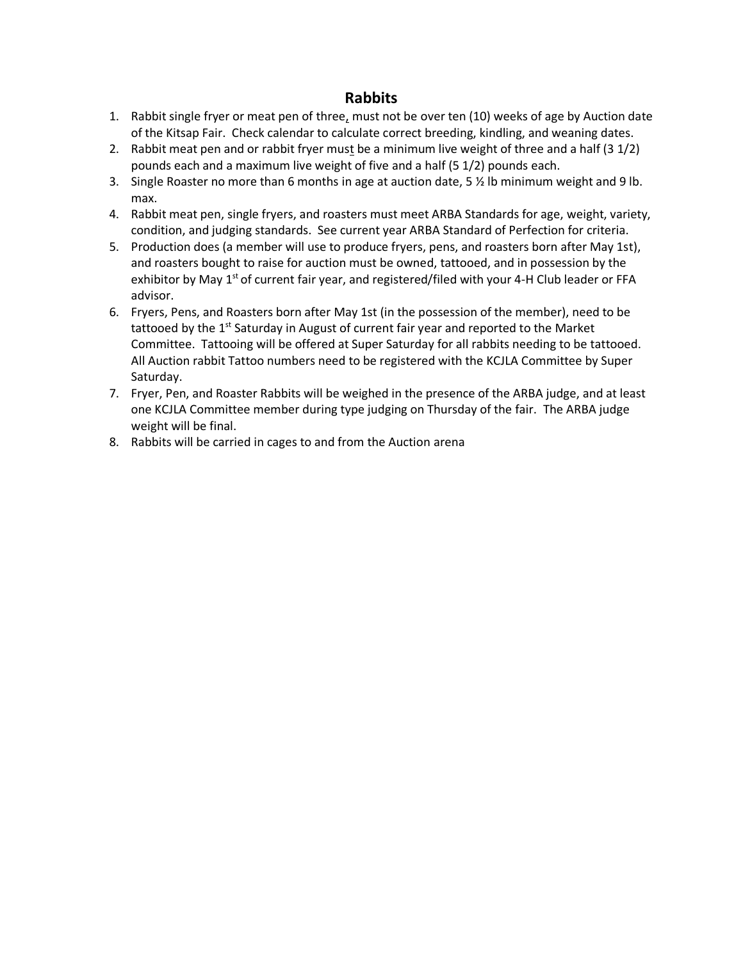#### **Rabbits**

- 1. Rabbit single fryer or meat pen of three, must not be over ten (10) weeks of age by Auction date of the Kitsap Fair. Check calendar to calculate correct breeding, kindling, and weaning dates.
- 2. Rabbit meat pen and or rabbit fryer must be a minimum live weight of three and a half (3 1/2) pounds each and a maximum live weight of five and a half (5 1/2) pounds each.
- 3. Single Roaster no more than 6 months in age at auction date, 5 ½ lb minimum weight and 9 lb. max.
- 4. Rabbit meat pen, single fryers, and roasters must meet ARBA Standards for age, weight, variety, condition, and judging standards. See current year ARBA Standard of Perfection for criteria.
- 5. Production does (a member will use to produce fryers, pens, and roasters born after May 1st), and roasters bought to raise for auction must be owned, tattooed, and in possession by the exhibitor by May  $1<sup>st</sup>$  of current fair year, and registered/filed with your 4-H Club leader or FFA advisor.
- 6. Fryers, Pens, and Roasters born after May 1st (in the possession of the member), need to be tattooed by the  $1<sup>st</sup>$  Saturday in August of current fair year and reported to the Market Committee. Tattooing will be offered at Super Saturday for all rabbits needing to be tattooed. All Auction rabbit Tattoo numbers need to be registered with the KCJLA Committee by Super Saturday.
- 7. Fryer, Pen, and Roaster Rabbits will be weighed in the presence of the ARBA judge, and at least one KCJLA Committee member during type judging on Thursday of the fair. The ARBA judge weight will be final.
- 8. Rabbits will be carried in cages to and from the Auction arena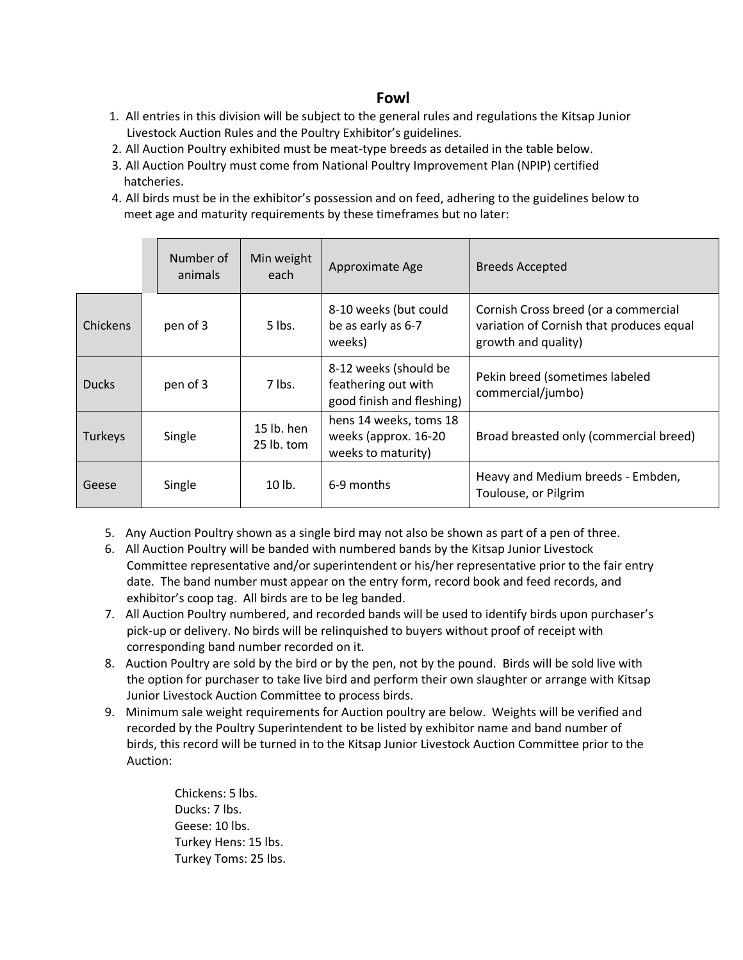## **Fowl**

- 1. All entries in this division will be subject to the general rules and regulations the Kitsap Junior Livestock Auction Rules and the Poultry Exhibitor's guidelines.
- 2. All Auction Poultry exhibited must be meat-type breeds as detailed in the table below.
- 3. All Auction Poultry must come from National Poultry Improvement Plan (NPIP) certified hatcheries.
- 4. All birds must be in the exhibitor's possession and on feed, adhering to the guidelines below to meet age and maturity requirements by these timeframes but no later:

|                 | Number of<br>animals | Min weight<br>each         | Approximate Age                                                           | <b>Breeds Accepted</b>                                                                                  |
|-----------------|----------------------|----------------------------|---------------------------------------------------------------------------|---------------------------------------------------------------------------------------------------------|
| <b>Chickens</b> | pen of 3             | 5 lbs.                     | 8-10 weeks (but could<br>be as early as 6-7<br>weeks)                     | Cornish Cross breed (or a commercial<br>variation of Cornish that produces equal<br>growth and quality) |
| <b>Ducks</b>    | pen of 3             | $7$ lbs.                   | 8-12 weeks (should be<br>feathering out with<br>good finish and fleshing) | Pekin breed (sometimes labeled<br>commercial/jumbo)                                                     |
| Turkeys         | Single               | $15$ lb. hen<br>25 lb. tom | hens 14 weeks, toms 18<br>weeks (approx. 16-20<br>weeks to maturity)      | Broad breasted only (commercial breed)                                                                  |
| Geese           | Single               | $10$ lb.                   | 6-9 months                                                                | Heavy and Medium breeds - Embden,<br>Toulouse, or Pilgrim                                               |

- 5. Any Auction Poultry shown as a single bird may not also be shown as part of a pen of three.
- 6. All Auction Poultry will be banded with numbered bands by the Kitsap Junior Livestock Committee representative and/or superintendent or his/her representative prior to the fair entry date. The band number must appear on the entry form, record book and feed records, and exhibitor's coop tag. All birds are to be leg banded.
- 7. All Auction Poultry numbered, and recorded bands will be used to identify birds upon purchaser's pick-up or delivery. No birds will be relinquished to buyers without proof of receipt with corresponding band number recorded on it.
- 8. Auction Poultry are sold by the bird or by the pen, not by the pound. Birds will be sold live with the option for purchaser to take live bird and perform their own slaughter or arrange with Kitsap Junior Livestock Auction Committee to process birds.
- 9. Minimum sale weight requirements for Auction poultry are below. Weights will be verified and recorded by the Poultry Superintendent to be listed by exhibitor name and band number of birds, this record will be turned in to the Kitsap Junior Livestock Auction Committee prior to the Auction:

Chickens: 5 lbs. Ducks: 7 lbs. Geese: 10 lbs. Turkey Hens: 15 lbs. Turkey Toms: 25 lbs.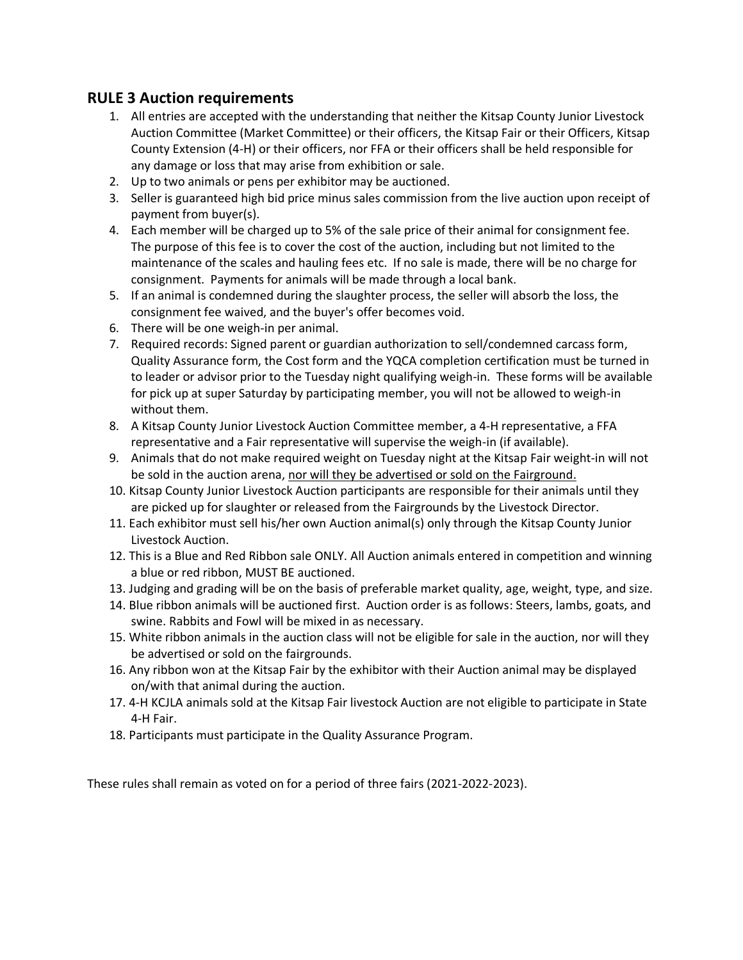## **RULE 3 Auction requirements**

- 1. All entries are accepted with the understanding that neither the Kitsap County Junior Livestock Auction Committee (Market Committee) or their officers, the Kitsap Fair or their Officers, Kitsap County Extension (4-H) or their officers, nor FFA or their officers shall be held responsible for any damage or loss that may arise from exhibition or sale.
- 2. Up to two animals or pens per exhibitor may be auctioned.
- 3. Seller is guaranteed high bid price minus sales commission from the live auction upon receipt of payment from buyer(s).
- 4. Each member will be charged up to 5% of the sale price of their animal for consignment fee. The purpose of this fee is to cover the cost of the auction, including but not limited to the maintenance of the scales and hauling fees etc. If no sale is made, there will be no charge for consignment. Payments for animals will be made through a local bank.
- 5. If an animal is condemned during the slaughter process, the seller will absorb the loss, the consignment fee waived, and the buyer's offer becomes void.
- 6. There will be one weigh-in per animal.
- 7. Required records: Signed parent or guardian authorization to sell/condemned carcass form, Quality Assurance form, the Cost form and the YQCA completion certification must be turned in to leader or advisor prior to the Tuesday night qualifying weigh-in. These forms will be available for pick up at super Saturday by participating member, you will not be allowed to weigh-in without them.
- 8. A Kitsap County Junior Livestock Auction Committee member, a 4-H representative, a FFA representative and a Fair representative will supervise the weigh-in (if available).
- 9. Animals that do not make required weight on Tuesday night at the Kitsap Fair weight-in will not be sold in the auction arena, nor will they be advertised or sold on the Fairground.
- 10. Kitsap County Junior Livestock Auction participants are responsible for their animals until they are picked up for slaughter or released from the Fairgrounds by the Livestock Director.
- 11. Each exhibitor must sell his/her own Auction animal(s) only through the Kitsap County Junior Livestock Auction.
- 12. This is a Blue and Red Ribbon sale ONLY. All Auction animals entered in competition and winning a blue or red ribbon, MUST BE auctioned.
- 13. Judging and grading will be on the basis of preferable market quality, age, weight, type, and size.
- 14. Blue ribbon animals will be auctioned first. Auction order is as follows: Steers, lambs, goats, and swine. Rabbits and Fowl will be mixed in as necessary.
- 15. White ribbon animals in the auction class will not be eligible for sale in the auction, nor will they be advertised or sold on the fairgrounds.
- 16. Any ribbon won at the Kitsap Fair by the exhibitor with their Auction animal may be displayed on/with that animal during the auction.
- 17. 4-H KCJLA animals sold at the Kitsap Fair livestock Auction are not eligible to participate in State 4-H Fair.
- 18. Participants must participate in the Quality Assurance Program.

These rules shall remain as voted on for a period of three fairs (2021-2022-2023).